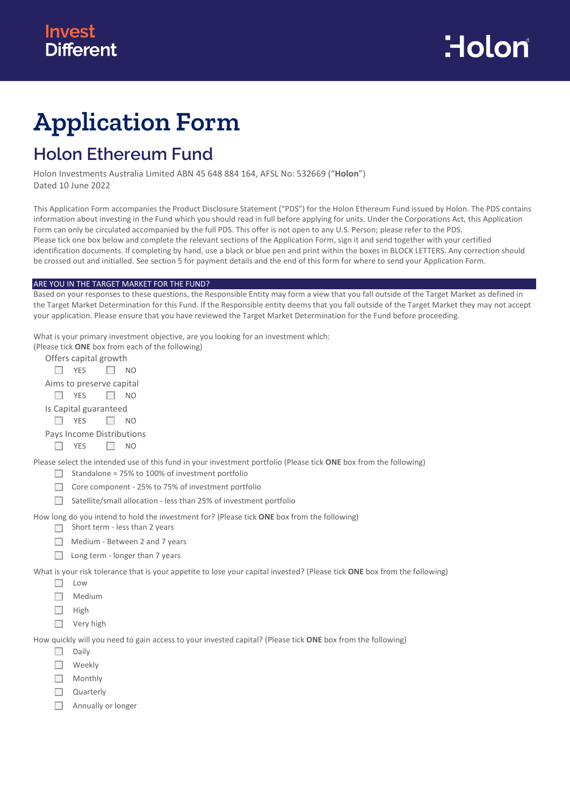# **Application Form**

## **Holon Ethereum Fund**

Holon Investments Australia Limited ABN 45 648 884 164, AFSL No: 532669 ("**Holon**") Dated 10 June 2022

This Application Form accompanies the Product Disclosure Statement ("PDS") for the Holon Ethereum Fund issued by Holon. The PDS contains information about investing in the Fund which you should read in full before applying for units. Under the Corporations Act, this Application Form can only be circulated accompanied by the full PDS. This offer is not open to any U.S. Person; please refer to the PDS. Please tick one box below and complete the relevant sections of the Application Form, sign it and send together with your certified identification documents. If completing by hand, use a black or blue pen and print within the boxes in BLOCK LETTERS. Any correction should be crossed out and initialled. See section 5 for payment details and the end of this form for where to send your Application Form.

#### ARE YOU IN THE TARGET MARKET FOR THE FUND?

Based on your responses to these questions, the Responsible Entity may form a view that you fall outside of the Target Market as defined in the Target Market Determination for this Fund. If the Responsible entity deems that you fall outside of the Target Market they may not accept your application. Please ensure that you have reviewed the Target Market Determination for the Fund before proceeding.

What is your primary investment objective, are you looking for an investment which:

| (Please tick <b>ONE</b> box from each of the following)                                                                                                               |
|-----------------------------------------------------------------------------------------------------------------------------------------------------------------------|
| Offers capital growth                                                                                                                                                 |
| <b>YES</b><br>NO.                                                                                                                                                     |
| Aims to preserve capital                                                                                                                                              |
| <b>YES</b><br>NO.                                                                                                                                                     |
| Is Capital guaranteed                                                                                                                                                 |
| <b>YES</b><br>NO.                                                                                                                                                     |
| Pays Income Distributions                                                                                                                                             |
| <b>YES</b><br>NO.                                                                                                                                                     |
| Please select the intended use of this fund in your investment portfolio (Please tick ONE box from the following)<br>Standalone = 75% to 100% of investment portfolio |
| Core component - 25% to 75% of investment portfolio                                                                                                                   |
| Satellite/small allocation - less than 25% of investment portfolio                                                                                                    |
| How long do you intend to hold the investment for? (Please tick <b>ONE</b> box from the following)<br>Short term - less than 2 years                                  |
| Medium - Between 2 and 7 years                                                                                                                                        |
| Long term - longer than 7 years                                                                                                                                       |
| What is your risk tolerance that is your appetite to lose your capital invested? (Please tick ONE box from the following)                                             |

- $\Box$  Low
- $\Box$  Medium
- $\Box$  High
- □ Very high

How quickly will you need to gain access to your invested capital? (Please tick **ONE** box from the following)

- $\Box$  Daily
- □ Weekly
- $\Box$  Monthly
- $\Box$ Quarterly
- $\Box$ Annually or longer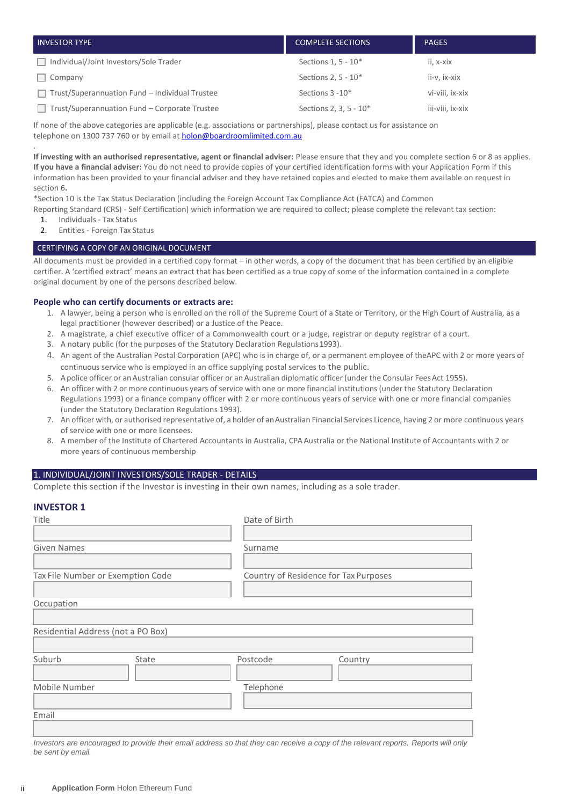| <b>INVESTOR TYPE</b>                                  | <b>COMPLETE SECTIONS</b> | <b>PAGES</b>     |
|-------------------------------------------------------|--------------------------|------------------|
| Individual/Joint Investors/Sole Trader                | Sections 1, 5 - 10*      | ii, x-xix        |
| $\Box$ Company                                        | Sections 2, $5 - 10*$    | ii-v, ix-xix     |
| $\Box$ Trust/Superannuation Fund – Individual Trustee | Sections 3 - 10*         | vi-viii, ix-xix  |
| Trust/Superannuation Fund - Corporate Trustee         | Sections 2, 3, 5 - 10*   | iii-viii, ix-xix |

If none of the above categories are applicable (e.g. associations or partnerships), please contact us for assistance on telephone on 1300 737 760 or by email at **holon@boardroomlimited.com.au** 

. **If investing with an authorised representative, agent or financial adviser:** Please ensure that they and you complete section 6 or 8 as applies. **If you have a financial adviser:** You do not need to provide copies of your certified identification forms with your Application Form if this information has been provided to your financial adviser and they have retained copies and elected to make them available on request in section 6**.**

\*Section 10 is the Tax Status Declaration (including the Foreign Account Tax Compliance Act (FATCA) and Common

Reporting Standard (CRS) - Self Certification) which information we are required to collect; please complete the relevant tax section: 1. Individuals - Tax Status

2. Entities - Foreign Tax Status

#### CERTIFYING A COPY OF AN ORIGINAL DOCUMENT

All documents must be provided in a certified copy format – in other words, a copy of the document that has been certified by an eligible certifier. A 'certified extract' means an extract that has been certified as a true copy of some of the information contained in a complete original document by one of the persons described below.

#### **People who can certify documents or extracts are:**

- 1. A lawyer, being a person who is enrolled on the roll of the Supreme Court of a State or Territory, or the High Court of Australia, as a legal practitioner (however described) or a Justice of the Peace.
- 2. A magistrate, a chief executive officer of a Commonwealth court or a judge, registrar or deputy registrar of a court.
- 3. A notary public (for the purposes of the Statutory Declaration Regulations1993).
- 4. An agent of the Australian Postal Corporation (APC) who is in charge of, or a permanent employee of theAPC with 2 or more years of continuous service who is employed in an office supplying postal services to the public.
- 5. A police officer or an Australian consular officer or an Australian diplomatic officer (under the Consular Fees Act 1955).
- 6. An officer with 2 or more continuous years of service with one or more financial institutions (under the Statutory Declaration Regulations 1993) or a finance company officer with 2 or more continuous years of service with one or more financial companies (under the Statutory Declaration Regulations 1993).
- 7. An officer with, or authorised representative of, a holder of an Australian Financial Services Licence, having 2 or more continuous years of service with one or more licensees.
- 8. A member of the Institute of Chartered Accountants in Australia, CPA Australia or the National Institute of Accountants with 2 or more years of continuous membership

#### 1. INDIVIDUAL/JOINT INVESTORS/SOLE TRADER - DETAILS

Complete this section if the Investor is investing in their own names, including as a sole trader.

#### **INVESTOR 1**

| Title                              |       | Date of Birth                         |                                                                                                                                    |
|------------------------------------|-------|---------------------------------------|------------------------------------------------------------------------------------------------------------------------------------|
|                                    |       |                                       |                                                                                                                                    |
| <b>Given Names</b>                 |       | Surname                               |                                                                                                                                    |
|                                    |       |                                       |                                                                                                                                    |
| Tax File Number or Exemption Code  |       | Country of Residence for Tax Purposes |                                                                                                                                    |
|                                    |       |                                       |                                                                                                                                    |
| Occupation                         |       |                                       |                                                                                                                                    |
|                                    |       |                                       |                                                                                                                                    |
| Residential Address (not a PO Box) |       |                                       |                                                                                                                                    |
|                                    |       |                                       |                                                                                                                                    |
| Suburb                             | State | Postcode                              | Country                                                                                                                            |
|                                    |       |                                       |                                                                                                                                    |
| Mobile Number                      |       | Telephone                             |                                                                                                                                    |
|                                    |       |                                       |                                                                                                                                    |
| Email                              |       |                                       |                                                                                                                                    |
|                                    |       |                                       |                                                                                                                                    |
|                                    |       |                                       | Investors are encouraged to provide their email address so that they can receive a copy of the relevant reports. Reports will only |

*Investors are encouraged to provide their email address so that they can receive a copy of the relevant reports. Reports will only be sent by email.*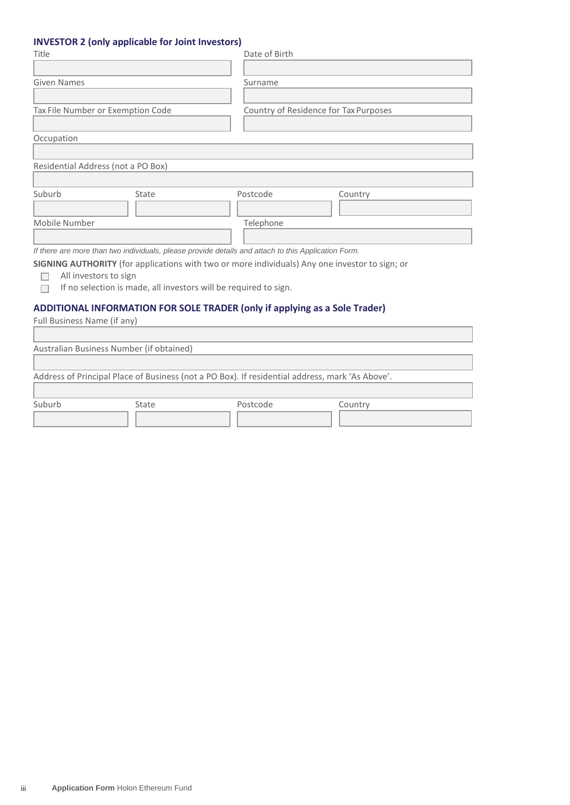## **INVESTOR 2 (only applicable for Joint Investors)**

| Title                                                                                                                                                                                       |       | Date of Birth                                                                                       |                                       |  |
|---------------------------------------------------------------------------------------------------------------------------------------------------------------------------------------------|-------|-----------------------------------------------------------------------------------------------------|---------------------------------------|--|
| Given Names                                                                                                                                                                                 |       | Surname                                                                                             |                                       |  |
| Tax File Number or Exemption Code                                                                                                                                                           |       |                                                                                                     | Country of Residence for Tax Purposes |  |
| Occupation                                                                                                                                                                                  |       |                                                                                                     |                                       |  |
| Residential Address (not a PO Box)                                                                                                                                                          |       |                                                                                                     |                                       |  |
| Suburb                                                                                                                                                                                      | State | Postcode                                                                                            | Country                               |  |
| Mobile Number                                                                                                                                                                               |       | Telephone                                                                                           |                                       |  |
|                                                                                                                                                                                             |       | If there are more than two individuals, please provide details and attach to this Application Form. |                                       |  |
| SIGNING AUTHORITY (for applications with two or more individuals) Any one investor to sign; or<br>All investors to sign<br>If no selection is made, all investors will be required to sign. |       |                                                                                                     |                                       |  |
| Full Business Name (if any)                                                                                                                                                                 |       | ADDITIONAL INFORMATION FOR SOLE TRADER (only if applying as a Sole Trader)                          |                                       |  |

| $\frac{1}{2}$ . Sin $\frac{1}{2}$ sections in the section of $\frac{1}{2}$ |                                          |                                                                                                 |         |  |
|----------------------------------------------------------------------------|------------------------------------------|-------------------------------------------------------------------------------------------------|---------|--|
|                                                                            |                                          |                                                                                                 |         |  |
|                                                                            | Australian Business Number (if obtained) |                                                                                                 |         |  |
|                                                                            |                                          |                                                                                                 |         |  |
|                                                                            |                                          | Address of Principal Place of Business (not a PO Box). If residential address, mark 'As Above'. |         |  |
| Suburb                                                                     | State                                    | Postcode                                                                                        | Country |  |
|                                                                            |                                          |                                                                                                 |         |  |
|                                                                            |                                          |                                                                                                 |         |  |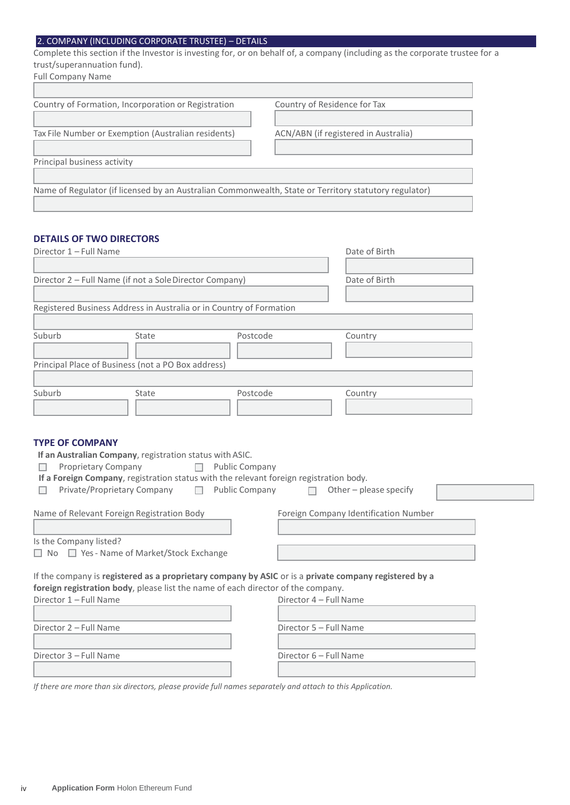## 2. COMPANY (INCLUDING CORPORATE TRUSTEE) – DETAILS

Complete this section if the Investor is investing for, or on behalf of, a company (including as the corporate trustee for a trust/superannuation fund).

| Country of Residence for Tax                                                                          |  |  |  |  |
|-------------------------------------------------------------------------------------------------------|--|--|--|--|
|                                                                                                       |  |  |  |  |
| ACN/ABN (if registered in Australia)                                                                  |  |  |  |  |
|                                                                                                       |  |  |  |  |
| Principal business activity                                                                           |  |  |  |  |
|                                                                                                       |  |  |  |  |
| Name of Regulator (if licensed by an Australian Commonwealth, State or Territory statutory regulator) |  |  |  |  |
|                                                                                                       |  |  |  |  |

## **DETAILS OF TWO DIRECTORS**

| Director 1 - Full Name                                  |                                                                                                            | Date of Birth                                                                                                                       |                                                                                                                                 |  |
|---------------------------------------------------------|------------------------------------------------------------------------------------------------------------|-------------------------------------------------------------------------------------------------------------------------------------|---------------------------------------------------------------------------------------------------------------------------------|--|
| Director 2 - Full Name (if not a Sole Director Company) |                                                                                                            | Date of Birth                                                                                                                       |                                                                                                                                 |  |
|                                                         | Registered Business Address in Australia or in Country of Formation                                        |                                                                                                                                     |                                                                                                                                 |  |
| Suburb                                                  | State                                                                                                      | Postcode                                                                                                                            | Country                                                                                                                         |  |
|                                                         | Principal Place of Business (not a PO Box address)                                                         |                                                                                                                                     |                                                                                                                                 |  |
| Suburb                                                  | State                                                                                                      | Postcode                                                                                                                            | Country                                                                                                                         |  |
| $\Box$<br>$\Box$                                        | Proprietary Company<br>Private/Proprietary Company<br>$\Box$<br>Name of Relevant Foreign Registration Body | <b>Public Company</b><br>If a Foreign Company, registration status with the relevant foreign registration body.<br>Public Company □ | Other - please specify<br>Foreign Company Identification Number                                                                 |  |
| Is the Company listed?                                  |                                                                                                            |                                                                                                                                     |                                                                                                                                 |  |
| □ No □ Yes - Name of Market/Stock Exchange              |                                                                                                            |                                                                                                                                     |                                                                                                                                 |  |
| Director 1 - Full Name                                  |                                                                                                            | foreign registration body, please list the name of each director of the company.                                                    | If the company is registered as a proprietary company by ASIC or is a private company registered by a<br>Director 4 - Full Name |  |
| Director 2 - Full Name                                  |                                                                                                            |                                                                                                                                     | Director 5 - Full Name                                                                                                          |  |
| Director 3 - Full Name                                  |                                                                                                            |                                                                                                                                     | Director 6 - Full Name                                                                                                          |  |

*If there are more than six directors, please provide full names separately and attach to this Application.*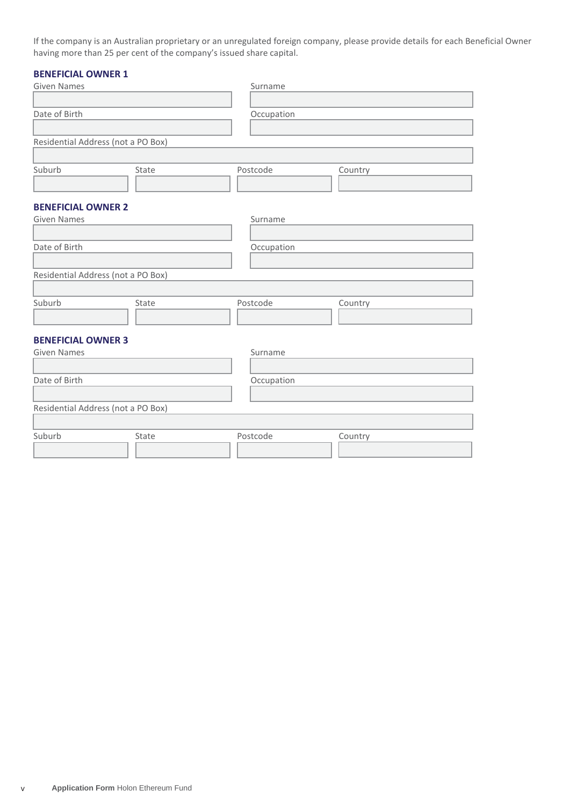If the company is an Australian proprietary or an unregulated foreign company, please provide details for each Beneficial Owner having more than 25 per cent of the company's issued share capital.

## **BENEFICIAL OWNER 1**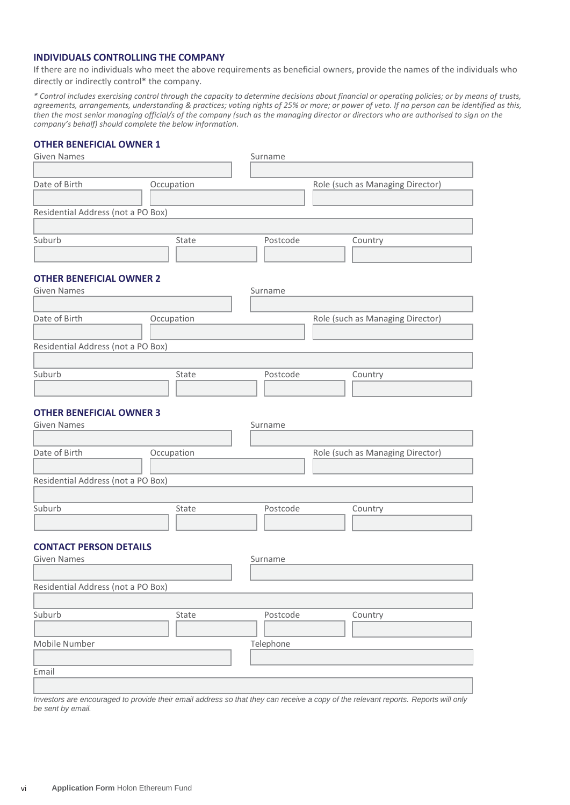## **INDIVIDUALS CONTROLLING THE COMPANY**

If there are no individuals who meet the above requirements as beneficial owners, provide the names of the individuals who directly or indirectly control\* the company.

*\* Control includes exercising control through the capacity to determine decisions about financial or operating policies; or by means of trusts, agreements, arrangements, understanding & practices; voting rights of 25% or more; or power of veto. If no person can be identified as this, then the most senior managing official/s of the company (such as the managing director or directors who are authorised to sign on the company's behalf) should complete the below information.*

#### **OTHER BENEFICIAL OWNER 1**

| <b>Given Names</b>                 |            | Surname   |                                  |
|------------------------------------|------------|-----------|----------------------------------|
|                                    |            |           |                                  |
| Date of Birth                      | Occupation |           | Role (such as Managing Director) |
|                                    |            |           |                                  |
| Residential Address (not a PO Box) |            |           |                                  |
|                                    |            |           |                                  |
| Suburb                             | State      | Postcode  | Country                          |
|                                    |            |           |                                  |
| <b>OTHER BENEFICIAL OWNER 2</b>    |            |           |                                  |
| <b>Given Names</b>                 |            | Surname   |                                  |
|                                    |            |           |                                  |
| Date of Birth                      | Occupation |           | Role (such as Managing Director) |
|                                    |            |           |                                  |
| Residential Address (not a PO Box) |            |           |                                  |
|                                    |            |           |                                  |
| Suburb                             | State      | Postcode  | Country                          |
|                                    |            |           |                                  |
|                                    |            |           |                                  |
| <b>OTHER BENEFICIAL OWNER 3</b>    |            |           |                                  |
| <b>Given Names</b>                 |            | Surname   |                                  |
|                                    |            |           |                                  |
| Date of Birth                      | Occupation |           | Role (such as Managing Director) |
|                                    |            |           |                                  |
| Residential Address (not a PO Box) |            |           |                                  |
|                                    |            |           |                                  |
| Suburb                             | State      | Postcode  | Country                          |
|                                    |            |           |                                  |
| <b>CONTACT PERSON DETAILS</b>      |            |           |                                  |
| <b>Given Names</b>                 |            | Surname   |                                  |
|                                    |            |           |                                  |
| Residential Address (not a PO Box) |            |           |                                  |
|                                    |            |           |                                  |
| Suburb                             | State      | Postcode  | Country                          |
|                                    |            |           |                                  |
| Mobile Number                      |            | Telephone |                                  |
|                                    |            |           |                                  |
| Email                              |            |           |                                  |
|                                    |            |           |                                  |

*Investors are encouraged to provide their email address so that they can receive a copy of the relevant reports. Reports will only be sent by email.*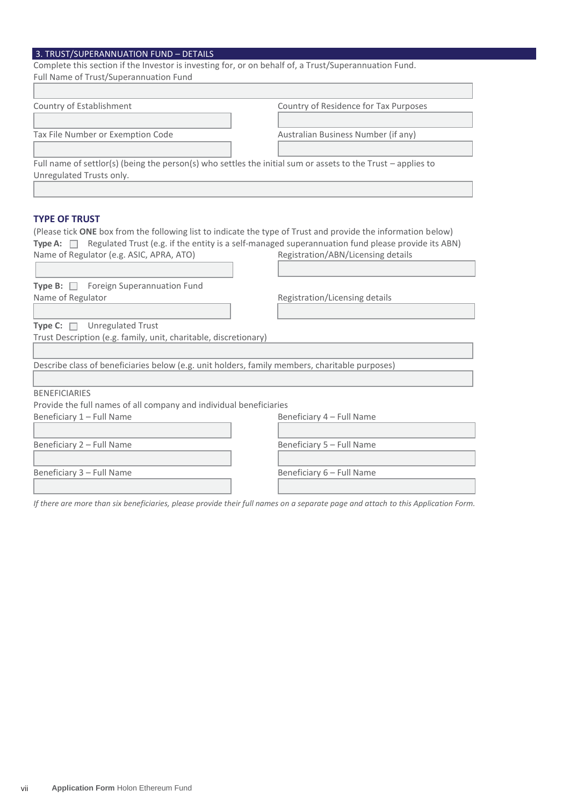## 3. TRUST/SUPERANNUATION FUND – DETAILS

| Complete this section if the Investor is investing for, or on behalf of, a Trust/Superannuation Fund.         |                                       |
|---------------------------------------------------------------------------------------------------------------|---------------------------------------|
| Full Name of Trust/Superannuation Fund                                                                        |                                       |
|                                                                                                               |                                       |
| Country of Establishment                                                                                      | Country of Residence for Tax Purposes |
|                                                                                                               |                                       |
| Tax File Number or Exemption Code                                                                             | Australian Business Number (if any)   |
|                                                                                                               |                                       |
| Full name of settlor(s) (being the person(s) who settles the initial sum or assets to the Trust – applies to  |                                       |
| Unregulated Trusts only.                                                                                      |                                       |
|                                                                                                               |                                       |
|                                                                                                               |                                       |
| <b>TYPE OF TRUST</b>                                                                                          |                                       |
| (Please tick ONE box from the following list to indicate the type of Trust and provide the information below) |                                       |

| Type A: $\Box$ Regulated Trust (e.g. if the entity is a self-managed superannuation fund please provide its ABN) |                                    |  |  |  |
|------------------------------------------------------------------------------------------------------------------|------------------------------------|--|--|--|
| Name of Regulator (e.g. ASIC, APRA, ATO)                                                                         | Registration/ABN/Licensing details |  |  |  |
|                                                                                                                  |                                    |  |  |  |
| <b>Type B:</b> $\Box$ Foreign Superannuation Fund                                                                |                                    |  |  |  |
| Name of Regulator                                                                                                | Registration/Licensing details     |  |  |  |
|                                                                                                                  |                                    |  |  |  |
| <b>Type C:</b> $\Box$ Unregulated Trust                                                                          |                                    |  |  |  |
| Trust Description (e.g. family, unit, charitable, discretionary)                                                 |                                    |  |  |  |
|                                                                                                                  |                                    |  |  |  |
| Describe class of beneficiaries below (e.g. unit holders, family members, charitable purposes)                   |                                    |  |  |  |
|                                                                                                                  |                                    |  |  |  |
| <b>BENEFICIARIES</b>                                                                                             |                                    |  |  |  |
| Provide the full names of all company and individual beneficiaries                                               |                                    |  |  |  |
| Beneficiary 1 - Full Name                                                                                        | Beneficiary 4 - Full Name          |  |  |  |
|                                                                                                                  |                                    |  |  |  |
| Beneficiary 2 - Full Name                                                                                        | Beneficiary 5 - Full Name          |  |  |  |
|                                                                                                                  |                                    |  |  |  |
| Beneficiary 3 - Full Name                                                                                        | Beneficiary 6 - Full Name          |  |  |  |
|                                                                                                                  |                                    |  |  |  |
|                                                                                                                  |                                    |  |  |  |

*If there are more than six beneficiaries, please provide their full names on a separate page and attach to this Application Form.*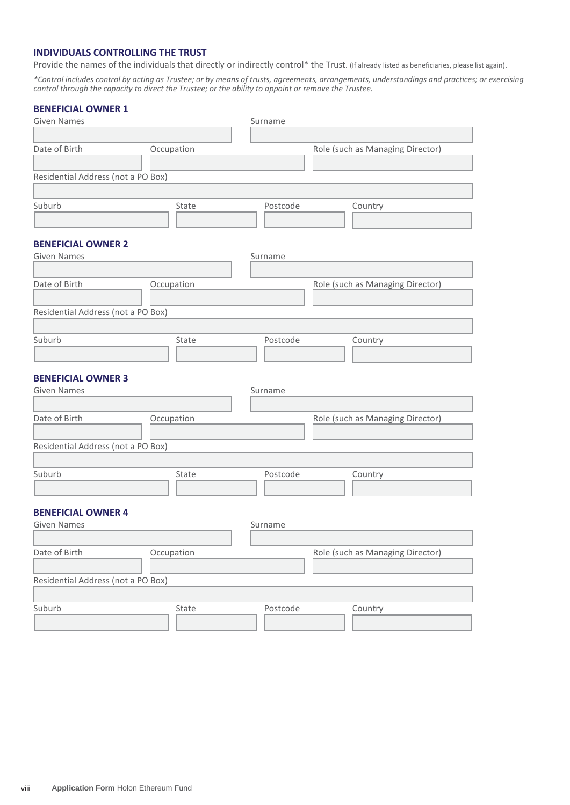## **INDIVIDUALS CONTROLLING THE TRUST**

Provide the names of the individuals that directly or indirectly control\* the Trust. (If already listed as beneficiaries, please list again).

*\*Control includes control by acting as Trustee; or by means of trusts, agreements, arrangements, understandings and practices; or exercising control through the capacity to direct the Trustee; or the ability to appoint or remove the Trustee.*

## **BENEFICIAL OWNER 1**

| <b>Given Names</b>                 |            | Surname  |                                  |
|------------------------------------|------------|----------|----------------------------------|
|                                    |            |          |                                  |
| Date of Birth                      | Occupation |          | Role (such as Managing Director) |
|                                    |            |          |                                  |
| Residential Address (not a PO Box) |            |          |                                  |
|                                    |            |          |                                  |
| Suburb                             | State      | Postcode | Country                          |
|                                    |            |          |                                  |
|                                    |            |          |                                  |
| <b>BENEFICIAL OWNER 2</b>          |            |          |                                  |
| <b>Given Names</b>                 |            | Surname  |                                  |
|                                    |            |          |                                  |
| Date of Birth                      | Occupation |          | Role (such as Managing Director) |
|                                    |            |          |                                  |
| Residential Address (not a PO Box) |            |          |                                  |
|                                    |            |          |                                  |
| Suburb                             | State      | Postcode | Country                          |
|                                    |            |          |                                  |
| <b>BENEFICIAL OWNER 3</b>          |            |          |                                  |
| <b>Given Names</b>                 |            | Surname  |                                  |
|                                    |            |          |                                  |
| Date of Birth                      | Occupation |          | Role (such as Managing Director) |
|                                    |            |          |                                  |
| Residential Address (not a PO Box) |            |          |                                  |
|                                    |            |          |                                  |
| Suburb                             | State      | Postcode | Country                          |
|                                    |            |          |                                  |
|                                    |            |          |                                  |
| <b>BENEFICIAL OWNER 4</b>          |            |          |                                  |
| <b>Given Names</b>                 |            | Surname  |                                  |
|                                    |            |          |                                  |
| Date of Birth                      | Occupation |          | Role (such as Managing Director) |
|                                    |            |          |                                  |
| Residential Address (not a PO Box) |            |          |                                  |
|                                    |            |          |                                  |
| Suburb                             | State      | Postcode | Country                          |
|                                    |            |          |                                  |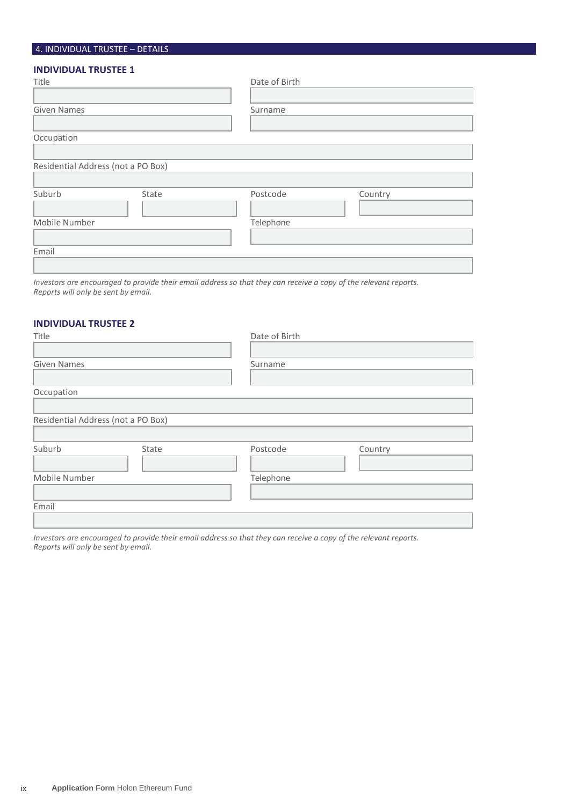## 4. INDIVIDUAL TRUSTEE – DETAILS

## **INDIVIDUAL TRUSTEE 1**

| Title                              |       | Date of Birth |         |
|------------------------------------|-------|---------------|---------|
|                                    |       |               |         |
| <b>Given Names</b>                 |       | Surname       |         |
|                                    |       |               |         |
| Occupation                         |       |               |         |
|                                    |       |               |         |
| Residential Address (not a PO Box) |       |               |         |
|                                    |       |               |         |
| Suburb                             | State | Postcode      | Country |
|                                    |       |               |         |
| Mobile Number                      |       | Telephone     |         |
|                                    |       |               |         |
| Email                              |       |               |         |
|                                    |       |               |         |

*Investors are encouraged to provide their email address so that they can receive a copy of the relevant reports. Reports will only be sent by email.*

## **INDIVIDUAL TRUSTEE 2**

| Title                              |       | Date of Birth |         |
|------------------------------------|-------|---------------|---------|
|                                    |       |               |         |
| <b>Given Names</b>                 |       | Surname       |         |
|                                    |       |               |         |
| Occupation                         |       |               |         |
|                                    |       |               |         |
| Residential Address (not a PO Box) |       |               |         |
|                                    |       |               |         |
| Suburb                             | State | Postcode      | Country |
|                                    |       |               |         |
| Mobile Number                      |       | Telephone     |         |
|                                    |       |               |         |
| Email                              |       |               |         |
|                                    |       |               |         |

*Investors are encouraged to provide their email address so that they can receive a copy of the relevant reports. Reports will only be sent by email.*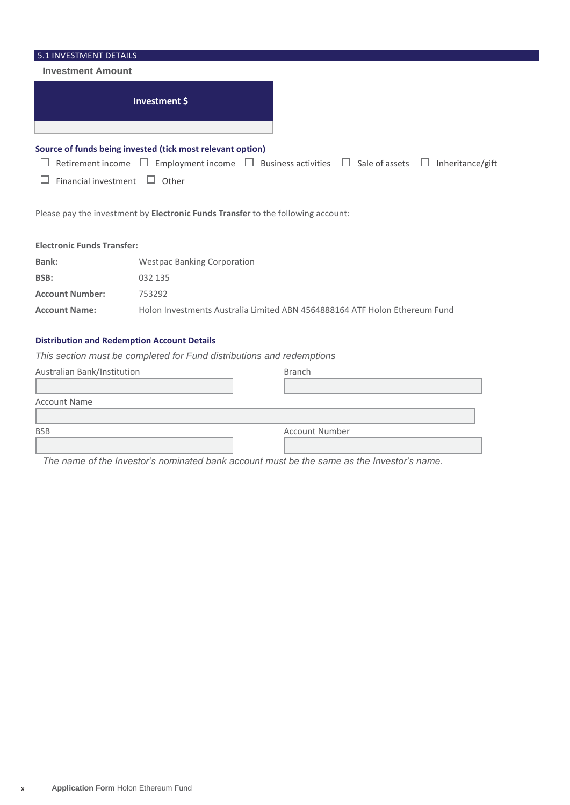| 5.1 INVESTMENT DETAILS                             |                                                            |                                                                                                                      |
|----------------------------------------------------|------------------------------------------------------------|----------------------------------------------------------------------------------------------------------------------|
| <b>Investment Amount</b>                           |                                                            |                                                                                                                      |
|                                                    | Investment \$                                              |                                                                                                                      |
|                                                    | Source of funds being invested (tick most relevant option) |                                                                                                                      |
|                                                    |                                                            | Retirement income $\Box$ Employment income $\Box$ Business activities $\Box$ Sale of assets<br>Inheritance/gift<br>ப |
| Financial investment                               |                                                            | $\Box$ Other $\Box$                                                                                                  |
|                                                    |                                                            | Please pay the investment by Electronic Funds Transfer to the following account:                                     |
| <b>Electronic Funds Transfer:</b>                  |                                                            |                                                                                                                      |
| Bank:                                              | <b>Westpac Banking Corporation</b>                         |                                                                                                                      |
| BSB:                                               | 032 135                                                    |                                                                                                                      |
| <b>Account Number:</b>                             | 753292                                                     |                                                                                                                      |
| <b>Account Name:</b>                               |                                                            | Holon Investments Australia Limited ABN 4564888164 ATF Holon Ethereum Fund                                           |
| <b>Distribution and Redemption Account Details</b> |                                                            |                                                                                                                      |
|                                                    |                                                            | This section must be completed for Fund distributions and redemptions                                                |
| Australian Bank/Institution                        |                                                            | <b>Branch</b>                                                                                                        |
|                                                    |                                                            |                                                                                                                      |
| <b>Account Name</b>                                |                                                            |                                                                                                                      |
|                                                    |                                                            |                                                                                                                      |
| <b>BSB</b>                                         |                                                            | <b>Account Number</b>                                                                                                |
|                                                    |                                                            |                                                                                                                      |

*The name of the Investor's nominated bank account must be the same as the Investor's name.*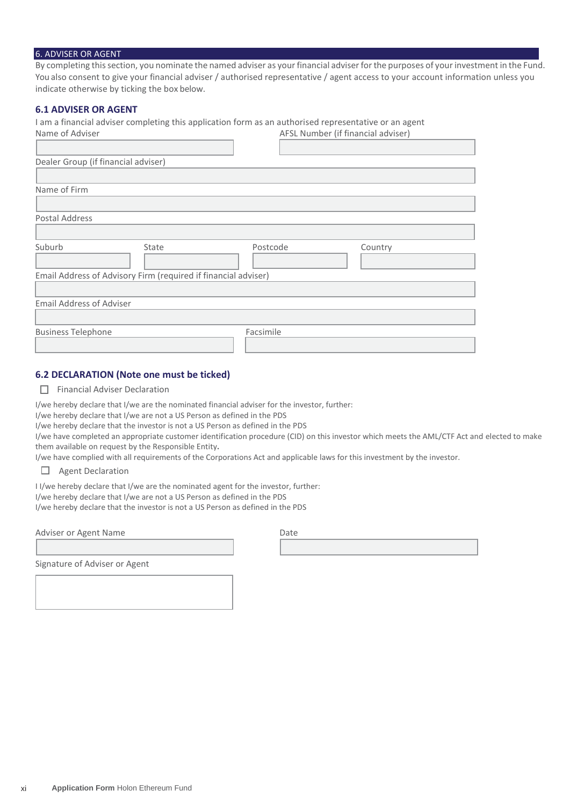#### 6. ADVISER OR AGENT

By completing this section, you nominate the named adviser as your financial adviser for the purposes of your investment in the Fund. You also consent to give your financial adviser / authorised representative / agent access to your account information unless you indicate otherwise by ticking the box below.

#### **6.1 ADVISER OR AGENT**

I am a financial adviser completing this application form as an authorised representative or an agent

| Name of Adviser                                                |       | AFSL Number (if financial adviser) |         |
|----------------------------------------------------------------|-------|------------------------------------|---------|
|                                                                |       |                                    |         |
| Dealer Group (if financial adviser)                            |       |                                    |         |
|                                                                |       |                                    |         |
| Name of Firm                                                   |       |                                    |         |
|                                                                |       |                                    |         |
| Postal Address                                                 |       |                                    |         |
|                                                                |       |                                    |         |
| Suburb                                                         | State | Postcode                           | Country |
|                                                                |       |                                    |         |
| Email Address of Advisory Firm (required if financial adviser) |       |                                    |         |
|                                                                |       |                                    |         |
| <b>Email Address of Adviser</b>                                |       |                                    |         |
|                                                                |       |                                    |         |
| <b>Business Telephone</b>                                      |       | Facsimile                          |         |
|                                                                |       |                                    |         |

## **6.2 DECLARATION (Note one must be ticked)**

 $\Box$  Financial Adviser Declaration

I/we hereby declare that I/we are the nominated financial adviser for the investor, further:

I/we hereby declare that I/we are not a US Person as defined in the PDS

I/we hereby declare that the investor is not a US Person as defined in the PDS

I/we have completed an appropriate customer identification procedure (CID) on this investor which meets the AML/CTF Act and elected to make them available on request by the Responsible Entity**.**

I/we have complied with all requirements of the Corporations Act and applicable laws for this investment by the investor.

Agent Declaration П

I I/we hereby declare that I/we are the nominated agent for the investor, further:

I/we hereby declare that I/we are not a US Person as defined in the PDS

I/we hereby declare that the investor is not a US Person as defined in the PDS

Adviser or Agent Name

Signature of Adviser or Agent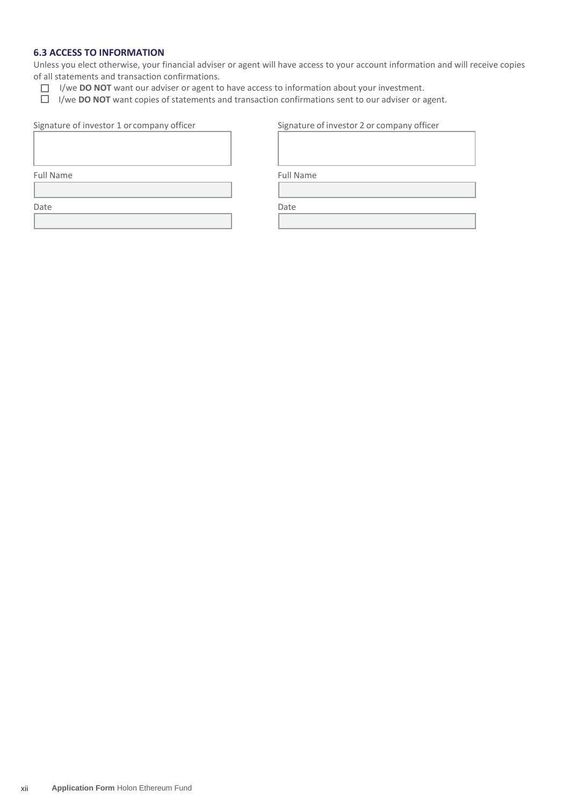## **6.3 ACCESS TO INFORMATION**

Unless you elect otherwise, your financial adviser or agent will have access to your account information and will receive copies of all statements and transaction confirmations.

- I/we **DO NOT** want our adviser or agent to have access to information about your investment.
- I/we **DO NOT** want copies of statements and transaction confirmations sent to our adviser or agent.

| Signature of investor 1 or company officer | Signature of investor 2 or company officer |
|--------------------------------------------|--------------------------------------------|
|                                            |                                            |

Full Name Full Name

Date **Date** Date **Date** Date **Date**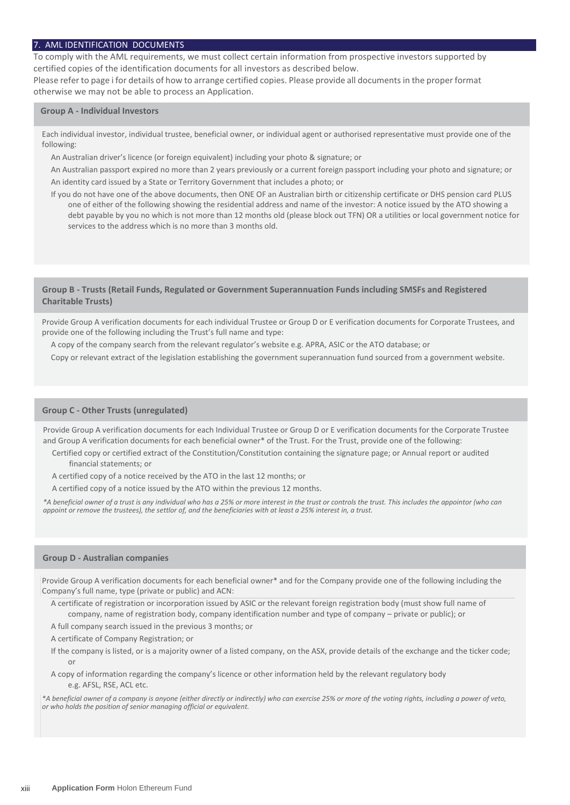#### 7. AML IDENTIFICATION DOCUMENTS

To comply with the AML requirements, we must collect certain information from prospective investors supported by certified copies of the identification documents for all investors as described below.

Please refer to page i for details of how to arrange certified copies. Please provide all documents in the proper format otherwise we may not be able to process an Application.

#### **Group A - Individual Investors**

Each individual investor, individual trustee, beneficial owner, or individual agent or authorised representative must provide one of the following:

An Australian driver's licence (or foreign equivalent) including your photo & signature; or

An Australian passport expired no more than 2 years previously or a current foreign passport including your photo and signature; or An identity card issued by a State or Territory Government that includes a photo; or

If you do not have one of the above documents, then ONE OF an Australian birth or citizenship certificate or DHS pension card PLUS one of either of the following showing the residential address and name of the investor: A notice issued by the ATO showing a debt payable by you no which is not more than 12 months old (please block out TFN) OR a utilities or local government notice for services to the address which is no more than 3 months old.

#### **Group B - Trusts (Retail Funds, Regulated or Government Superannuation Funds including SMSFs and Registered Charitable Trusts)**

Provide Group A verification documents for each individual Trustee or Group D or E verification documents for Corporate Trustees, and provide one of the following including the Trust's full name and type:

A copy of the company search from the relevant regulator's website e.g. APRA, ASIC or the ATO database; or

Copy or relevant extract of the legislation establishing the government superannuation fund sourced from a government website.

#### **Group C - Other Trusts (unregulated)**

Provide Group A verification documents for each Individual Trustee or Group D or E verification documents for the Corporate Trustee and Group A verification documents for each beneficial owner\* of the Trust. For the Trust, provide one of the following:

- Certified copy or certified extract of the Constitution/Constitution containing the signature page; or Annual report or audited financial statements; or
- A certified copy of a notice received by the ATO in the last 12 months; or
- A certified copy of a notice issued by the ATO within the previous 12 months.

*\*A beneficial owner of a trust is any individual who has a 25% or more interest in the trust or controls the trust. This includes the appointor (who can appoint or remove the trustees), the settlor of, and the beneficiaries with at least a 25% interest in, a trust.*

#### **Group D - Australian companies**

Provide Group A verification documents for each beneficial owner\* and for the Company provide one of the following including the Company's full name, type (private or public) and ACN:

A certificate of registration or incorporation issued by ASIC or the relevant foreign registration body (must show full name of company, name of registration body, company identification number and type of company – private or public); or

A full company search issued in the previous 3 months; or

A certificate of Company Registration; or

If the company is listed, or is a majority owner of a listed company, on the ASX, provide details of the exchange and the ticker code; or

A copy of information regarding the company's licence or other information held by the relevant regulatory body e.g. AFSL, RSE, ACL etc.

*\*A beneficial owner of a company is anyone (either directly or indirectly) who can exercise 25% or more of the voting rights, including a power of veto, or who holds the position of senior managing official or equivalent.*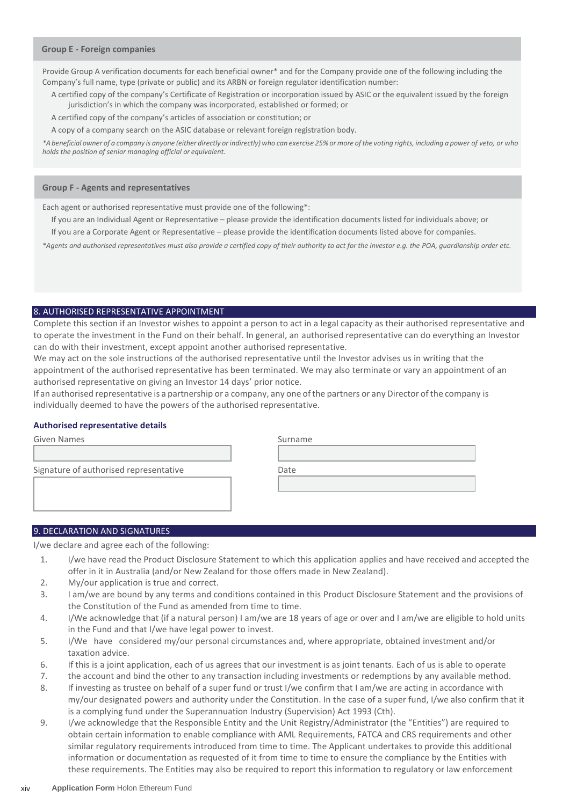#### **Group E - Foreign companies**

Provide Group A verification documents for each beneficial owner\* and for the Company provide one of the following including the Company's full name, type (private or public) and its ARBN or foreign regulator identification number:

A certified copy of the company's Certificate of Registration or incorporation issued by ASIC or the equivalent issued by the foreign jurisdiction's in which the company was incorporated, established or formed; or

A certified copy of the company's articles of association or constitution; or

A copy of a company search on the ASIC database or relevant foreign registration body.

\*A beneficial owner of a company is anyone (either directly or indirectly) who can exercise 25% or more of the voting rights, including a power of veto, or who *holds the position of senior managing official or equivalent.*

#### **Group F - Agents and representatives**

Each agent or authorised representative must provide one of the following\*:

- If you are an Individual Agent or Representative please provide the identification documents listed for individuals above; or
- If you are a Corporate Agent or Representative please provide the identification documents listed above for companies.

*\*Agents and authorised representatives must also provide a certified copy of their authority to act for the investor e.g. the POA, guardianship order etc.*

#### 8. AUTHORISED REPRESENTATIVE APPOINTMENT

Complete this section if an Investor wishes to appoint a person to act in a legal capacity as their authorised representative and to operate the investment in the Fund on their behalf. In general, an authorised representative can do everything an Investor can do with their investment, except appoint another authorised representative.

We may act on the sole instructions of the authorised representative until the Investor advises us in writing that the appointment of the authorised representative has been terminated. We may also terminate or vary an appointment of an authorised representative on giving an Investor 14 days' prior notice.

If an authorised representative is a partnership or a company, any one ofthe partners or any Director of the company is individually deemed to have the powers of the authorised representative.

#### **Authorised representative details**

| Given Names                            | Surname |
|----------------------------------------|---------|
|                                        |         |
| Signature of authorised representative | Date    |
|                                        |         |
|                                        |         |
|                                        |         |

#### 9. DECLARATION AND SIGNATURES

I/we declare and agree each of the following:

- 1. I/we have read the Product Disclosure Statement to which this application applies and have received and accepted the offer in it in Australia (and/or New Zealand for those offers made in New Zealand).
- 2. My/our application is true and correct.
- 3. I am/we are bound by any terms and conditions contained in this Product Disclosure Statement and the provisions of the Constitution of the Fund as amended from time to time.
- 4. I/We acknowledge that (if a natural person) I am/we are 18 years of age or over and I am/we are eligible to hold units in the Fund and that I/we have legal power to invest.
- 5. I/We have considered my/our personal circumstances and, where appropriate, obtained investment and/or taxation advice.
- 6. If this is a joint application, each of us agrees that our investment is as joint tenants. Each of us is able to operate
- 7. the account and bind the other to any transaction including investments or redemptions by any available method.
- 8. If investing as trustee on behalf of a super fund or trust I/we confirm that I am/we are acting in accordance with my/our designated powers and authority under the Constitution. In the case of a super fund, I/we also confirm that it is a complying fund under the Superannuation Industry (Supervision) Act 1993 (Cth).
- 9. I/we acknowledge that the Responsible Entity and the Unit Registry/Administrator (the "Entities") are required to obtain certain information to enable compliance with AML Requirements, FATCA and CRS requirements and other similar regulatory requirements introduced from time to time. The Applicant undertakes to provide this additional information or documentation as requested of it from time to time to ensure the compliance by the Entities with these requirements. The Entities may also be required to report this information to regulatory or law enforcement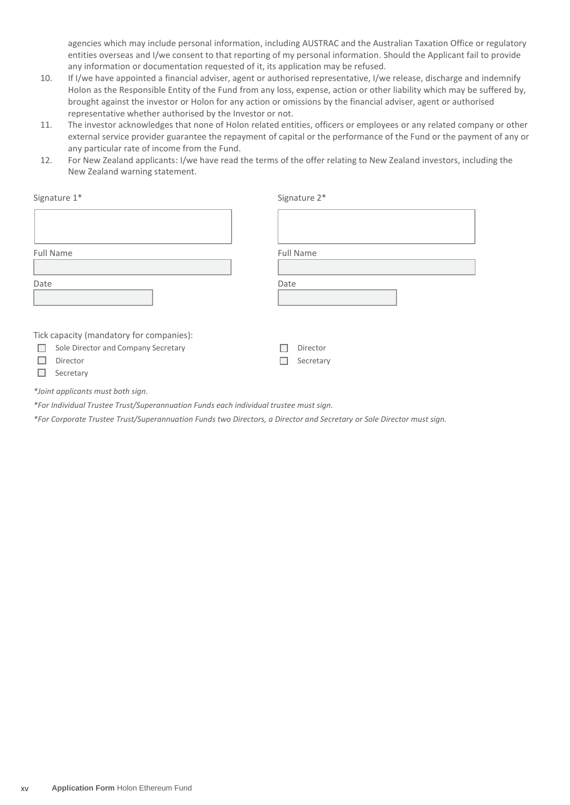agencies which may include personal information, including AUSTRAC and the Australian Taxation Office or regulatory entities overseas and I/we consent to that reporting of my personal information. Should the Applicant fail to provide any information or documentation requested of it, its application may be refused.

- 10. If I/we have appointed a financial adviser, agent or authorised representative, I/we release, discharge and indemnify Holon as the Responsible Entity of the Fund from any loss, expense, action or other liability which may be suffered by, brought against the investor or Holon for any action or omissions by the financial adviser, agent or authorised representative whether authorised by the Investor or not.
- 11. The investor acknowledges that none of Holon related entities, officers or employees or any related company or other external service provider guarantee the repayment of capital or the performance of the Fund or the payment of any or any particular rate of income from the Fund.
- 12. For New Zealand applicants: I/we have read the terms of the offer relating to New Zealand investors, including the New Zealand warning statement.

| Signature 1*                              | Signature 2*     |
|-------------------------------------------|------------------|
|                                           |                  |
| Full Name                                 | <b>Full Name</b> |
|                                           |                  |
| Date                                      | Date             |
|                                           |                  |
|                                           |                  |
| Tick capacity (mandatory for companies):  |                  |
| Sole Director and Company Secretary<br>L. | Director         |
| Director                                  | Secretary        |
| Secretary                                 |                  |

*\*Joint applicants must both sign.*

*\*For Individual Trustee Trust/Superannuation Funds each individual trustee must sign.*

*\*For Corporate Trustee Trust/Superannuation Funds two Directors, a Director and Secretary or Sole Director must sign.*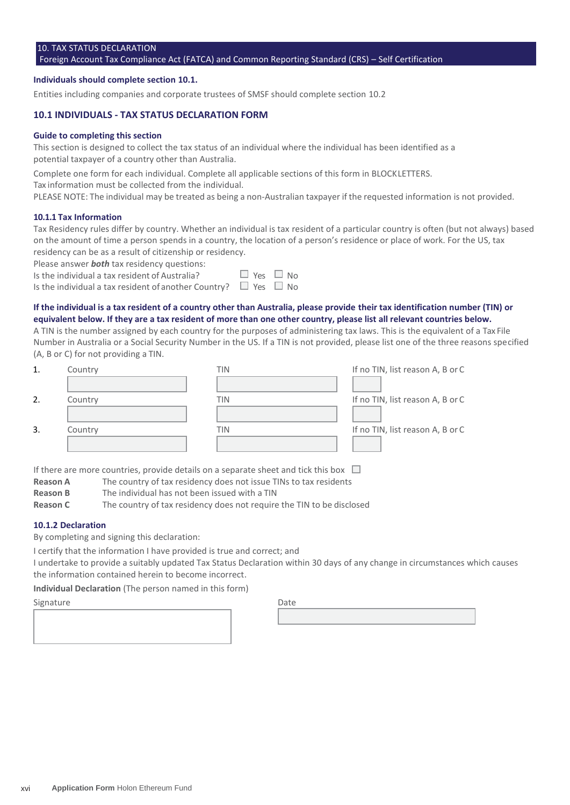## 10. TAX STATUS DECLARATION

#### Foreign Account Tax Compliance Act (FATCA) and Common Reporting Standard (CRS) – Self Certification

#### **Individuals should complete section 10.1.**

Entities including companies and corporate trustees of SMSF should complete section 10.2

#### **10.1 INDIVIDUALS - TAX STATUS DECLARATION FORM**

#### **Guide to completing this section**

This section is designed to collect the tax status of an individual where the individual has been identified as a potential taxpayer of a country other than Australia.

Complete one form for each individual. Complete all applicable sections of this form in BLOCKLETTERS.

Tax information must be collected from the individual.

PLEASE NOTE: The individual may be treated as being a non-Australian taxpayer if the requested information is not provided.

#### **10.1.1 Tax Information**

Tax Residency rules differ by country. Whether an individual is tax resident of a particular country is often (but not always) based on the amount of time a person spends in a country, the location of a person's residence or place of work. For the US, tax residency can be as a result of citizenship or residency.

Please answer *both* tax residency questions:

Is the individual a tax resident of Australia?  $\Box$  Yes

Is the individual a tax resident of another Country?  $\Box$  Yes  $\Box$  No

#### **If the individual is a tax resident of a country other than Australia, please provide their tax identification number (TIN) or equivalent below. If they are a tax resident of more than one other country, please list all relevant countries below.**

A TIN is the number assigned by each country for the purposes of administering tax laws. This is the equivalent of a Tax File Number in Australia or a Social Security Number in the US. If a TIN is not provided, please list one of the three reasons specified (A, B or C) for not providing a TIN.

| 1. | Country | TIN | If no TIN, list reason A, B or C |
|----|---------|-----|----------------------------------|
|    |         |     |                                  |
| 2. | Country | TIN | If no TIN, list reason A, B or C |
|    |         |     |                                  |
| 3. | Country | TIN | If no TIN, list reason A, B or C |
|    |         |     |                                  |

If there are more countries, provide details on a separate sheet and tick this box  $\Box$ 

- **Reason A** The country of tax residency does not issue TINs to tax residents
- **Reason B** The individual has not been issued with a TIN

**Reason C** The country of tax residency does not require the TIN to be disclosed

#### **10.1.2 Declaration**

By completing and signing this declaration:

I certify that the information I have provided is true and correct; and

I undertake to provide a suitably updated Tax Status Declaration within 30 days of any change in circumstances which causes the information contained herein to become incorrect.

**Individual Declaration** (The person named in this form)

## Signature Date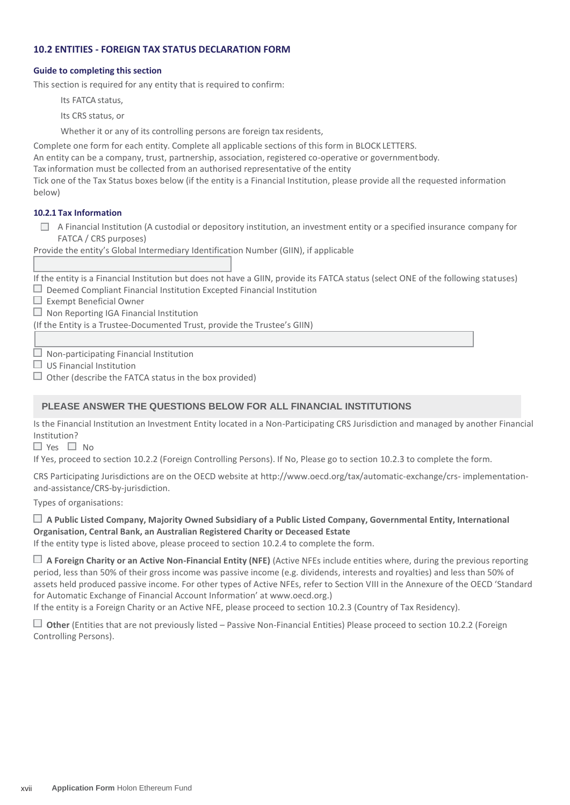## **10.2 ENTITIES - FOREIGN TAX STATUS DECLARATION FORM**

#### **Guide to completing this section**

This section is required for any entity that is required to confirm:

Its FATCA status,

Its CRS status, or

Whether it or any of its controlling persons are foreign tax residents,

Complete one form for each entity. Complete all applicable sections of this form in BLOCK LETTERS.

An entity can be a company, trust, partnership, association, registered co-operative or governmentbody.

Tax information must be collected from an authorised representative of the entity

Tick one of the Tax Status boxes below (if the entity is a Financial Institution, please provide all the requested information below)

## **10.2.1 Tax Information**

 $\Box$  A Financial Institution (A custodial or depository institution, an investment entity or a specified insurance company for FATCA / CRS purposes)

Provide the entity's Global Intermediary Identification Number (GIIN), if applicable

If the entity is a Financial Institution but does not have a GIIN, provide its FATCA status (select ONE of the following statuses)  $\Box$  Deemed Compliant Financial Institution Excepted Financial Institution

 $\Box$  Exempt Beneficial Owner

 $\Box$  Non Reporting IGA Financial Institution

(If the Entity is a Trustee-Documented Trust, provide the Trustee's GIIN)

 $\Box$  Non-participating Financial Institution

 $\Box$  US Financial Institution

 $\Box$  Other (describe the FATCA status in the box provided)

## **PLEASE ANSWER THE QUESTIONS BELOW FOR ALL FINANCIAL INSTITUTIONS**

Is the Financial Institution an Investment Entity located in a Non-Participating CRS Jurisdiction and managed by another Financial Institution?

 $\Box$  Yes  $\Box$  No

If Yes, proceed to section 10.2.2 (Foreign Controlling Persons). If No, Please go to section 10.2.3 to complete the form.

CRS Participating Jurisdictions are on the OECD website at<http://www.oecd.org/tax/automatic-exchange/crs-> implementationand-assistance/CRS-by-jurisdiction.

Types of organisations:

## **A Public Listed Company, Majority Owned Subsidiary of a Public Listed Company, Governmental Entity, International Organisation, Central Bank, an Australian Registered Charity or Deceased Estate**

If the entity type is listed above, please proceed to section 10.2.4 to complete the form.

 **A Foreign Charity or an Active Non-Financial Entity (NFE)** (Active NFEs include entities where, during the previous reporting period, less than 50% of their gross income was passive income (e.g. dividends, interests and royalties) and less than 50% of assets held produced passive income. For other types of Active NFEs, refer to Section VIII in the Annexure of the OECD 'Standard for Automatic Exchange of Financial Account Information' at www.oecd.org.)

If the entity is a Foreign Charity or an Active NFE, please proceed to section 10.2.3 (Country of Tax Residency).

 **Other** (Entities that are not previously listed – Passive Non-Financial Entities) Please proceed to section 10.2.2 (Foreign Controlling Persons).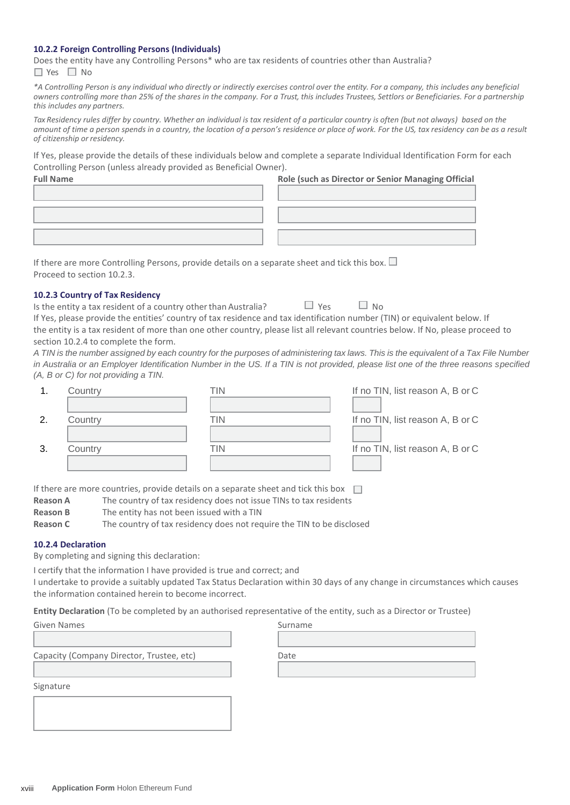#### **10.2.2 Foreign Controlling Persons (Individuals)**

Does the entity have any Controlling Persons\* who are tax residents of countries other than Australia?  $\Box$  Yes  $\Box$  No

*\*A Controlling Person is any individual who directly or indirectly exercises control over the entity. For a company, this includes any beneficial owners controlling more than 25% of the shares in the company. For a Trust, this includes Trustees, Settlors or Beneficiaries. For a partnership this includes any partners.*

Tax Residency rules differ by country. Whether an individual is tax resident of a particular country is often (but not always) based on the *amount of time a person spends in a country, the location of a person's residence or place of work. For the US, tax residency can be as a result of citizenship or residency.*

If Yes, please provide the details of these individuals below and complete a separate Individual Identification Form for each Controlling Person (unless already provided as Beneficial Owner).

| <b>Full Name</b> | Role (such as Director or Senior Managing Official |
|------------------|----------------------------------------------------|
|                  |                                                    |
|                  |                                                    |
|                  |                                                    |
|                  |                                                    |
|                  |                                                    |

If there are more Controlling Persons, provide details on a separate sheet and tick this box.  $\Box$ Proceed to section 10.2.3.

#### **10.2.3 Country of Tax Residency**

| Is the entity a tax resident of a country other than Australia?                                                                 | $\Box$ Yes | $\Box$ No |  |
|---------------------------------------------------------------------------------------------------------------------------------|------------|-----------|--|
| If Yes, please provide the entities' country of tax residence and tax identification number (TIN) or equivalent below. If       |            |           |  |
| the entity is a tax resident of more than one other country, please list all relevant countries below. If No, please proceed to |            |           |  |
| section 10.2.4 to complete the form.                                                                                            |            |           |  |

*A TIN is the number assigned by each country for the purposes of administering tax laws. This is the equivalent of a Tax File Number in Australia or an Employer Identification Number in the US. If a TIN is not provided, please list one of the three reasons specified (A, B or C) for not providing a TIN.*

|     | Country | ΓIΝ | If no TIN, list reason A, B or C |
|-----|---------|-----|----------------------------------|
|     |         |     |                                  |
| 2   | Country | TIN | If no TIN, list reason A, B or C |
|     |         |     |                                  |
| -3. | Country | ΓIΝ | If no TIN, list reason A, B or C |
|     |         |     |                                  |

If there are more countries, provide details on a separate sheet and tick this box  $\square$ 

- **Reason A** The country of tax residency does not issue TINs to tax residents
- **Reason B** The entity has not been issued with a TIN
- **Reason C** The country of tax residency does not require the TIN to be disclosed

#### **10.2.4 Declaration**

By completing and signing this declaration:

I certify that the information I have provided is true and correct; and

I undertake to provide a suitably updated Tax Status Declaration within 30 days of any change in circumstances which causes the information contained herein to become incorrect.

**Entity Declaration** (To be completed by an authorised representative of the entity, such as a Director or Trustee)

| Given Names                               | Surname |
|-------------------------------------------|---------|
|                                           |         |
| Capacity (Company Director, Trustee, etc) | Date    |
| Signature                                 |         |
|                                           |         |